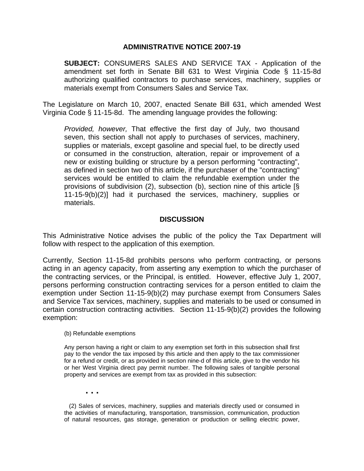## **ADMINISTRATIVE NOTICE 2007-19**

**SUBJECT:** CONSUMERS SALES AND SERVICE TAX - Application of the amendment set forth in Senate Bill 631 to West Virginia Code § 11-15-8d authorizing qualified contractors to purchase services, machinery, supplies or materials exempt from Consumers Sales and Service Tax.

The Legislature on March 10, 2007, enacted Senate Bill 631, which amended West Virginia Code § 11-15-8d. The amending language provides the following:

*Provided, however,* That effective the first day of July, two thousand seven, this section shall not apply to purchases of services, machinery, supplies or materials, except gasoline and special fuel, to be directly used or consumed in the construction, alteration, repair or improvement of a new or existing building or structure by a person performing "contracting", as defined in section two of this article, if the purchaser of the "contracting" services would be entitled to claim the refundable exemption under the provisions of subdivision (2), subsection (b), section nine of this article [§ 11-15-9(b)(2)] had it purchased the services, machinery, supplies or materials.

## **DISCUSSION**

This Administrative Notice advises the public of the policy the Tax Department will follow with respect to the application of this exemption.

Currently, Section 11-15-8d prohibits persons who perform contracting, or persons acting in an agency capacity, from asserting any exemption to which the purchaser of the contracting services, or the Principal, is entitled. However, effective July 1, 2007, persons performing construction contracting services for a person entitled to claim the exemption under Section 11-15-9(b)(2) may purchase exempt from Consumers Sales and Service Tax services, machinery, supplies and materials to be used or consumed in certain construction contracting activities. Section 11-15-9(b)(2) provides the following exemption:

## (b) Refundable exemptions

Any person having a right or claim to any exemption set forth in this subsection shall first pay to the vendor the tax imposed by this article and then apply to the tax commissioner for a refund or credit, or as provided in section nine-d of this article, give to the vendor his or her West Virginia direct pay permit number. The following sales of tangible personal property and services are exempt from tax as provided in this subsection:

 **. . .** 

 (2) Sales of services, machinery, supplies and materials directly used or consumed in the activities of manufacturing, transportation, transmission, communication, production of natural resources, gas storage, generation or production or selling electric power,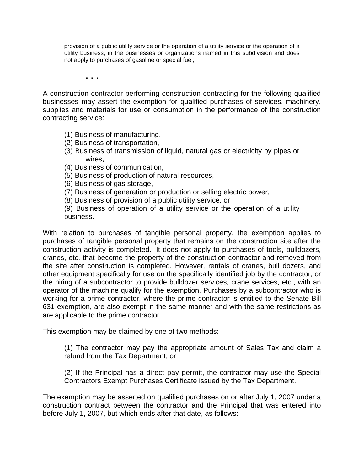provision of a public utility service or the operation of a utility service or the operation of a utility business, in the businesses or organizations named in this subdivision and does not apply to purchases of gasoline or special fuel;

 **. . .** 

A construction contractor performing construction contracting for the following qualified businesses may assert the exemption for qualified purchases of services, machinery, supplies and materials for use or consumption in the performance of the construction contracting service:

- (1) Business of manufacturing,
- (2) Business of transportation,
- (3) Business of transmission of liquid, natural gas or electricity by pipes or wires,
- (4) Business of communication,
- (5) Business of production of natural resources,
- (6) Business of gas storage,
- (7) Business of generation or production or selling electric power,
- (8) Business of provision of a public utility service, or

(9) Business of operation of a utility service or the operation of a utility business.

With relation to purchases of tangible personal property, the exemption applies to purchases of tangible personal property that remains on the construction site after the construction activity is completed. It does not apply to purchases of tools, bulldozers, cranes, etc. that become the property of the construction contractor and removed from the site after construction is completed. However, rentals of cranes, bull dozers, and other equipment specifically for use on the specifically identified job by the contractor, or the hiring of a subcontractor to provide bulldozer services, crane services, etc., with an operator of the machine qualify for the exemption. Purchases by a subcontractor who is working for a prime contractor, where the prime contractor is entitled to the Senate Bill 631 exemption, are also exempt in the same manner and with the same restrictions as are applicable to the prime contractor.

This exemption may be claimed by one of two methods:

(1) The contractor may pay the appropriate amount of Sales Tax and claim a refund from the Tax Department; or

(2) If the Principal has a direct pay permit, the contractor may use the Special Contractors Exempt Purchases Certificate issued by the Tax Department.

The exemption may be asserted on qualified purchases on or after July 1, 2007 under a construction contract between the contractor and the Principal that was entered into before July 1, 2007, but which ends after that date, as follows: